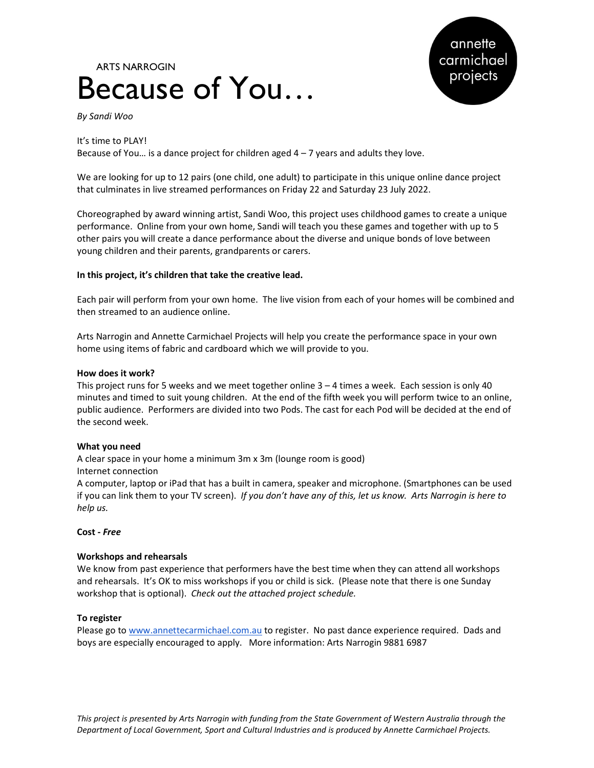# Because of You… ARTS NARROGIN



By Sandi Woo

It's time to PLAY! Because of You... is a dance project for children aged  $4 - 7$  years and adults they love.

We are looking for up to 12 pairs (one child, one adult) to participate in this unique online dance project that culminates in live streamed performances on Friday 22 and Saturday 23 July 2022.

Choreographed by award winning artist, Sandi Woo, this project uses childhood games to create a unique performance. Online from your own home, Sandi will teach you these games and together with up to 5 other pairs you will create a dance performance about the diverse and unique bonds of love between young children and their parents, grandparents or carers.

#### In this project, it's children that take the creative lead.

Each pair will perform from your own home. The live vision from each of your homes will be combined and then streamed to an audience online.

Arts Narrogin and Annette Carmichael Projects will help you create the performance space in your own home using items of fabric and cardboard which we will provide to you.

#### How does it work?

This project runs for 5 weeks and we meet together online  $3 - 4$  times a week. Each session is only 40 minutes and timed to suit young children. At the end of the fifth week you will perform twice to an online, public audience. Performers are divided into two Pods. The cast for each Pod will be decided at the end of the second week.

#### What you need

A clear space in your home a minimum 3m x 3m (lounge room is good) Internet connection

A computer, laptop or iPad that has a built in camera, speaker and microphone. (Smartphones can be used if you can link them to your TV screen). If you don't have any of this, let us know. Arts Narrogin is here to help us.

#### Cost - Free

#### Workshops and rehearsals

We know from past experience that performers have the best time when they can attend all workshops and rehearsals. It's OK to miss workshops if you or child is sick. (Please note that there is one Sunday workshop that is optional). Check out the attached project schedule.

#### To register

Please go to www.annettecarmichael.com.au to register. No past dance experience required. Dads and boys are especially encouraged to apply. More information: Arts Narrogin 9881 6987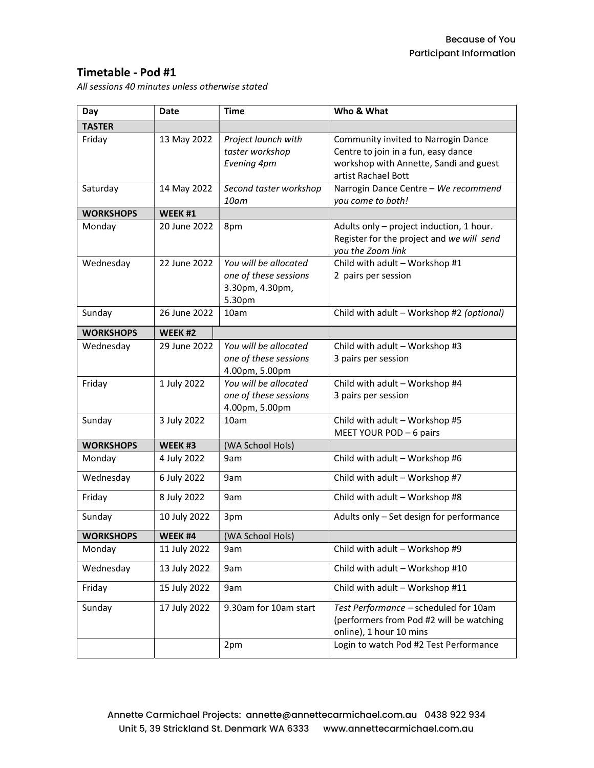## Timetable - Pod #1

All sessions 40 minutes unless otherwise stated

| Day              | Date         | Time                                                             | Who & What                                                                                                                                  |
|------------------|--------------|------------------------------------------------------------------|---------------------------------------------------------------------------------------------------------------------------------------------|
| <b>TASTER</b>    |              |                                                                  |                                                                                                                                             |
| Friday           | 13 May 2022  | Project launch with<br>taster workshop<br>Evening 4pm            | Community invited to Narrogin Dance<br>Centre to join in a fun, easy dance<br>workshop with Annette, Sandi and guest<br>artist Rachael Bott |
| Saturday         | 14 May 2022  | Second taster workshop<br>10am                                   | Narrogin Dance Centre - We recommend<br>you come to both!                                                                                   |
| <b>WORKSHOPS</b> | WEEK #1      |                                                                  |                                                                                                                                             |
| Monday           | 20 June 2022 | 8pm                                                              | Adults only - project induction, 1 hour.<br>Register for the project and we will send<br>you the Zoom link                                  |
| Wednesday        | 22 June 2022 | You will be allocated                                            | Child with adult - Workshop #1                                                                                                              |
|                  |              | one of these sessions<br>3.30pm, 4.30pm,<br>5.30pm               | 2 pairs per session                                                                                                                         |
| Sunday           | 26 June 2022 | 10am                                                             | Child with adult - Workshop #2 (optional)                                                                                                   |
| <b>WORKSHOPS</b> | WEEK #2      |                                                                  |                                                                                                                                             |
| Wednesday        | 29 June 2022 | You will be allocated<br>one of these sessions<br>4.00pm, 5.00pm | Child with adult - Workshop #3<br>3 pairs per session                                                                                       |
| Friday           | 1 July 2022  | You will be allocated<br>one of these sessions<br>4.00pm, 5.00pm | Child with adult - Workshop #4<br>3 pairs per session                                                                                       |
| Sunday           | 3 July 2022  | 10am                                                             | Child with adult - Workshop #5<br>MEET YOUR POD - 6 pairs                                                                                   |
| <b>WORKSHOPS</b> | WEEK #3      | (WA School Hols)                                                 |                                                                                                                                             |
| Monday           | 4 July 2022  | 9am                                                              | Child with adult - Workshop #6                                                                                                              |
| Wednesday        | 6 July 2022  | 9am                                                              | Child with adult - Workshop #7                                                                                                              |
| Friday           | 8 July 2022  | 9am                                                              | Child with adult - Workshop #8                                                                                                              |
| Sunday           | 10 July 2022 | 3pm                                                              | Adults only - Set design for performance                                                                                                    |
| <b>WORKSHOPS</b> | WEEK #4      | (WA School Hols)                                                 |                                                                                                                                             |
| Monday           | 11 July 2022 | 9am                                                              | Child with adult - Workshop #9                                                                                                              |
| Wednesday        | 13 July 2022 | 9am                                                              | Child with adult - Workshop #10                                                                                                             |
| Friday           | 15 July 2022 | 9am                                                              | Child with adult - Workshop #11                                                                                                             |
| Sunday           | 17 July 2022 | 9.30am for 10am start                                            | Test Performance - scheduled for 10am<br>(performers from Pod #2 will be watching<br>online), 1 hour 10 mins                                |
|                  |              | 2pm                                                              | Login to watch Pod #2 Test Performance                                                                                                      |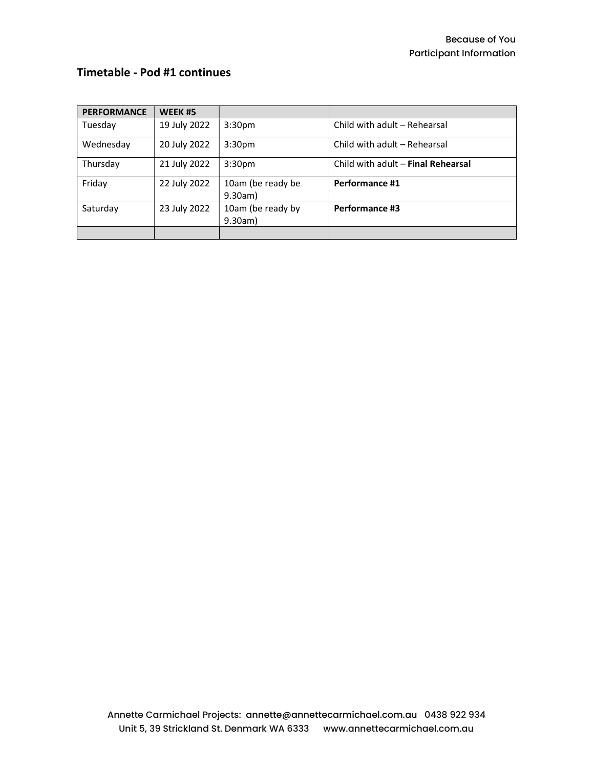# Timetable - Pod #1 continues

| <b>PERFORMANCE</b> | WEEK #5      |                              |                                    |
|--------------------|--------------|------------------------------|------------------------------------|
| Tuesday            | 19 July 2022 | 3:30 <sub>pm</sub>           | Child with adult - Rehearsal       |
| Wednesday          | 20 July 2022 | 3:30 <sub>pm</sub>           | Child with adult - Rehearsal       |
| Thursday           | 21 July 2022 | 3:30 <sub>pm</sub>           | Child with adult - Final Rehearsal |
| Friday             | 22 July 2022 | 10am (be ready be<br>9.30am) | Performance #1                     |
| Saturday           | 23 July 2022 | 10am (be ready by<br>9.30am) | Performance #3                     |
|                    |              |                              |                                    |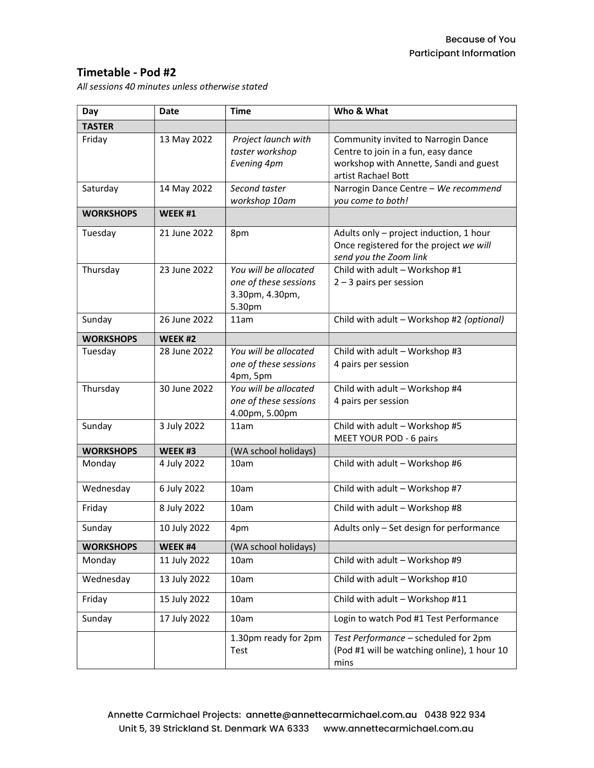## Timetable - Pod #2

All sessions 40 minutes unless otherwise stated

| Day              | <b>Date</b>  | <b>Time</b>                                                                 | Who & What                                                                                                                                  |
|------------------|--------------|-----------------------------------------------------------------------------|---------------------------------------------------------------------------------------------------------------------------------------------|
| <b>TASTER</b>    |              |                                                                             |                                                                                                                                             |
| Friday           | 13 May 2022  | Project launch with<br>taster workshop<br>Evening 4pm                       | Community invited to Narrogin Dance<br>Centre to join in a fun, easy dance<br>workshop with Annette, Sandi and guest<br>artist Rachael Bott |
| Saturday         | 14 May 2022  | Second taster<br>workshop 10am                                              | Narrogin Dance Centre - We recommend<br>you come to both!                                                                                   |
| <b>WORKSHOPS</b> | WEEK #1      |                                                                             |                                                                                                                                             |
| Tuesday          | 21 June 2022 | 8pm                                                                         | Adults only - project induction, 1 hour<br>Once registered for the project we will<br>send you the Zoom link                                |
| Thursday         | 23 June 2022 | You will be allocated<br>one of these sessions<br>3.30pm, 4.30pm,<br>5.30pm | Child with adult - Workshop #1<br>$2 - 3$ pairs per session                                                                                 |
| Sunday           | 26 June 2022 | 11am                                                                        | Child with adult - Workshop #2 (optional)                                                                                                   |
| <b>WORKSHOPS</b> | WEEK #2      |                                                                             |                                                                                                                                             |
| Tuesday          | 28 June 2022 | You will be allocated<br>one of these sessions<br>4pm, 5pm                  | Child with adult - Workshop #3<br>4 pairs per session                                                                                       |
| Thursday         | 30 June 2022 | You will be allocated<br>one of these sessions<br>4.00pm, 5.00pm            | Child with adult - Workshop #4<br>4 pairs per session                                                                                       |
| Sunday           | 3 July 2022  | 11am                                                                        | Child with adult - Workshop #5<br>MEET YOUR POD - 6 pairs                                                                                   |
| <b>WORKSHOPS</b> | WEEK #3      | (WA school holidays)                                                        |                                                                                                                                             |
| Monday           | 4 July 2022  | 10am                                                                        | Child with adult - Workshop #6                                                                                                              |
| Wednesday        | 6 July 2022  | 10am                                                                        | Child with adult - Workshop #7                                                                                                              |
| Friday           | 8 July 2022  | 10am                                                                        | Child with adult - Workshop #8                                                                                                              |
| Sunday           | 10 July 2022 | 4pm                                                                         | Adults only - Set design for performance                                                                                                    |
| <b>WORKSHOPS</b> | WEEK #4      | (WA school holidays)                                                        |                                                                                                                                             |
| Monday           | 11 July 2022 | 10am                                                                        | Child with adult - Workshop #9                                                                                                              |
| Wednesday        | 13 July 2022 | 10am                                                                        | Child with adult - Workshop #10                                                                                                             |
| Friday           | 15 July 2022 | 10am                                                                        | Child with adult - Workshop #11                                                                                                             |
| Sunday           | 17 July 2022 | 10am                                                                        | Login to watch Pod #1 Test Performance                                                                                                      |
|                  |              | 1.30pm ready for 2pm<br>Test                                                | Test Performance - scheduled for 2pm<br>(Pod #1 will be watching online), 1 hour 10<br>mins                                                 |